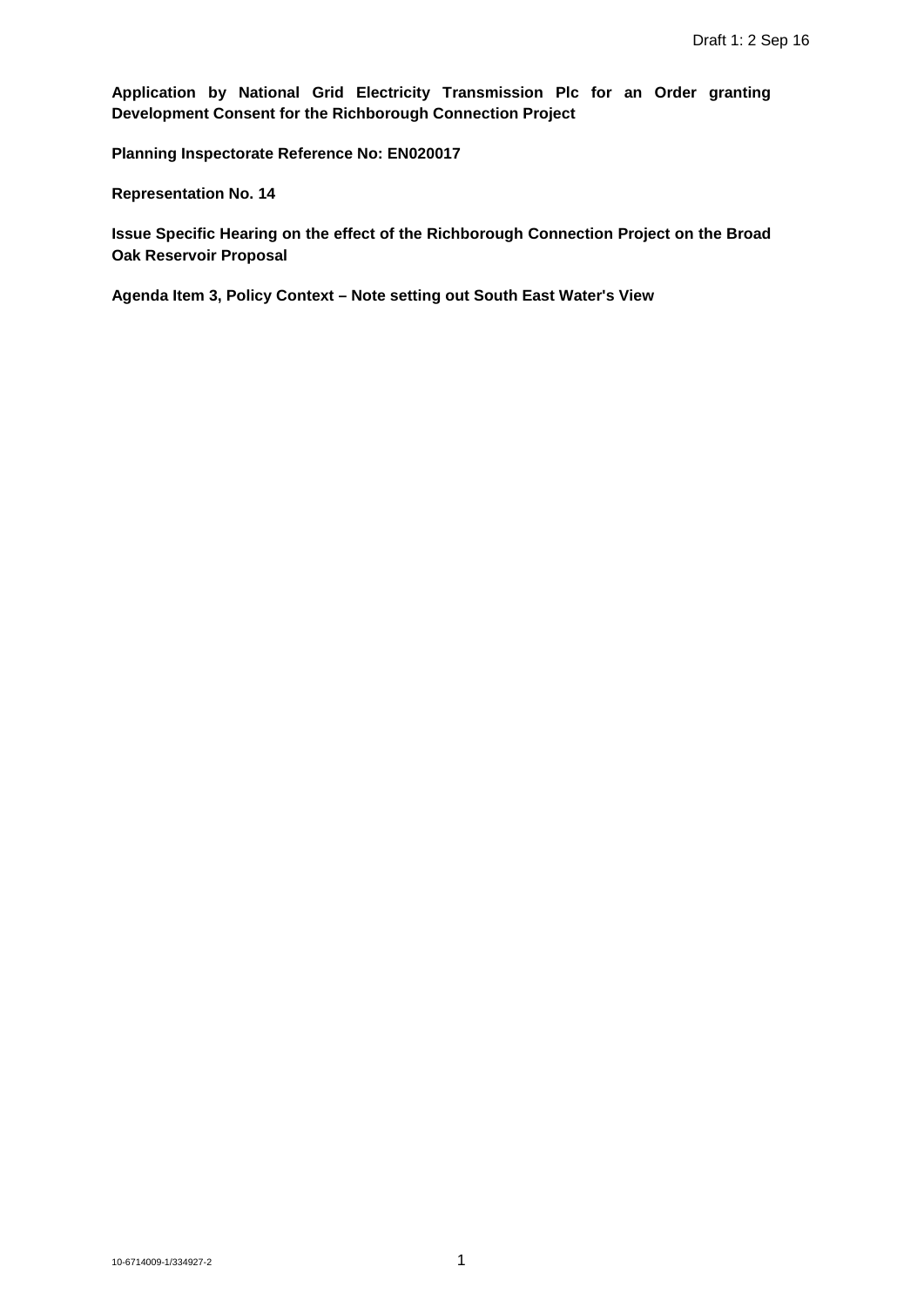**Application by National Grid Electricity Transmission Plc for an Order granting Development Consent for the Richborough Connection Project**

**Planning Inspectorate Reference No: EN020017** 

**Representation No. 14**

**Issue Specific Hearing on the effect of the Richborough Connection Project on the Broad Oak Reservoir Proposal**

**Agenda Item 3, Policy Context – Note setting out South East Water's View**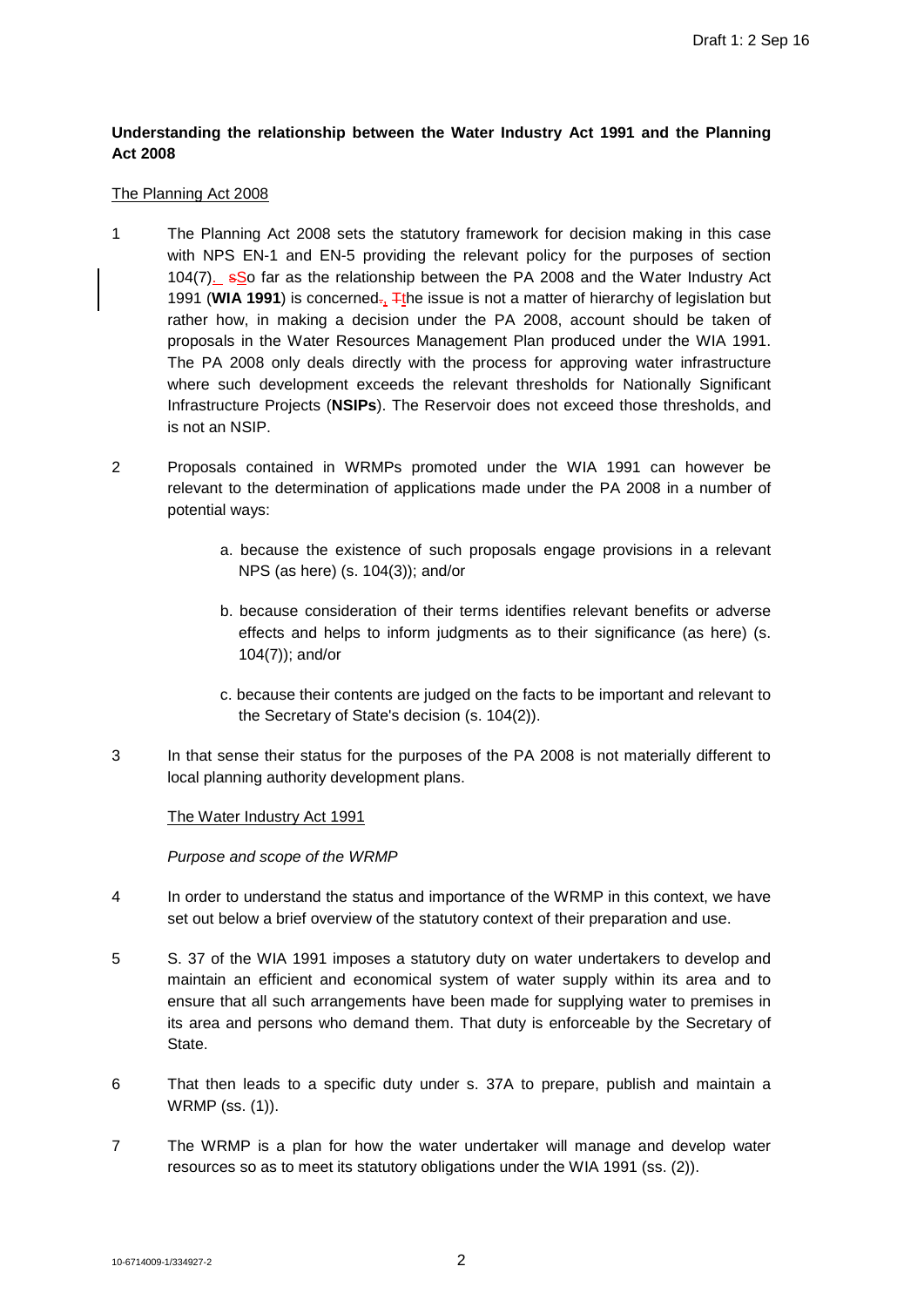# **Understanding the relationship between the Water Industry Act 1991 and the Planning Act 2008**

### The Planning Act 2008

- 1 The Planning Act 2008 sets the statutory framework for decision making in this case with NPS EN-1 and EN-5 providing the relevant policy for the purposes of section 104(7). sSo far as the relationship between the PA 2008 and the Water Industry Act 1991 (WIA 1991) is concerned-, Tthe issue is not a matter of hierarchy of legislation but rather how, in making a decision under the PA 2008, account should be taken of proposals in the Water Resources Management Plan produced under the WIA 1991. The PA 2008 only deals directly with the process for approving water infrastructure where such development exceeds the relevant thresholds for Nationally Significant Infrastructure Projects (**NSIPs**). The Reservoir does not exceed those thresholds, and is not an NSIP.
- 2 Proposals contained in WRMPs promoted under the WIA 1991 can however be relevant to the determination of applications made under the PA 2008 in a number of potential ways:
	- a. because the existence of such proposals engage provisions in a relevant NPS (as here) (s. 104(3)); and/or
	- b. because consideration of their terms identifies relevant benefits or adverse effects and helps to inform judgments as to their significance (as here) (s. 104(7)); and/or
	- c. because their contents are judged on the facts to be important and relevant to the Secretary of State's decision (s. 104(2)).
- 3 In that sense their status for the purposes of the PA 2008 is not materially different to local planning authority development plans.

The Water Industry Act 1991

*Purpose and scope of the WRMP*

- 4 In order to understand the status and importance of the WRMP in this context, we have set out below a brief overview of the statutory context of their preparation and use.
- 5 S. 37 of the WIA 1991 imposes a statutory duty on water undertakers to develop and maintain an efficient and economical system of water supply within its area and to ensure that all such arrangements have been made for supplying water to premises in its area and persons who demand them. That duty is enforceable by the Secretary of State.
- 6 That then leads to a specific duty under s. 37A to prepare, publish and maintain a WRMP (ss. (1)).
- 7 The WRMP is a plan for how the water undertaker will manage and develop water resources so as to meet its statutory obligations under the WIA 1991 (ss. (2)).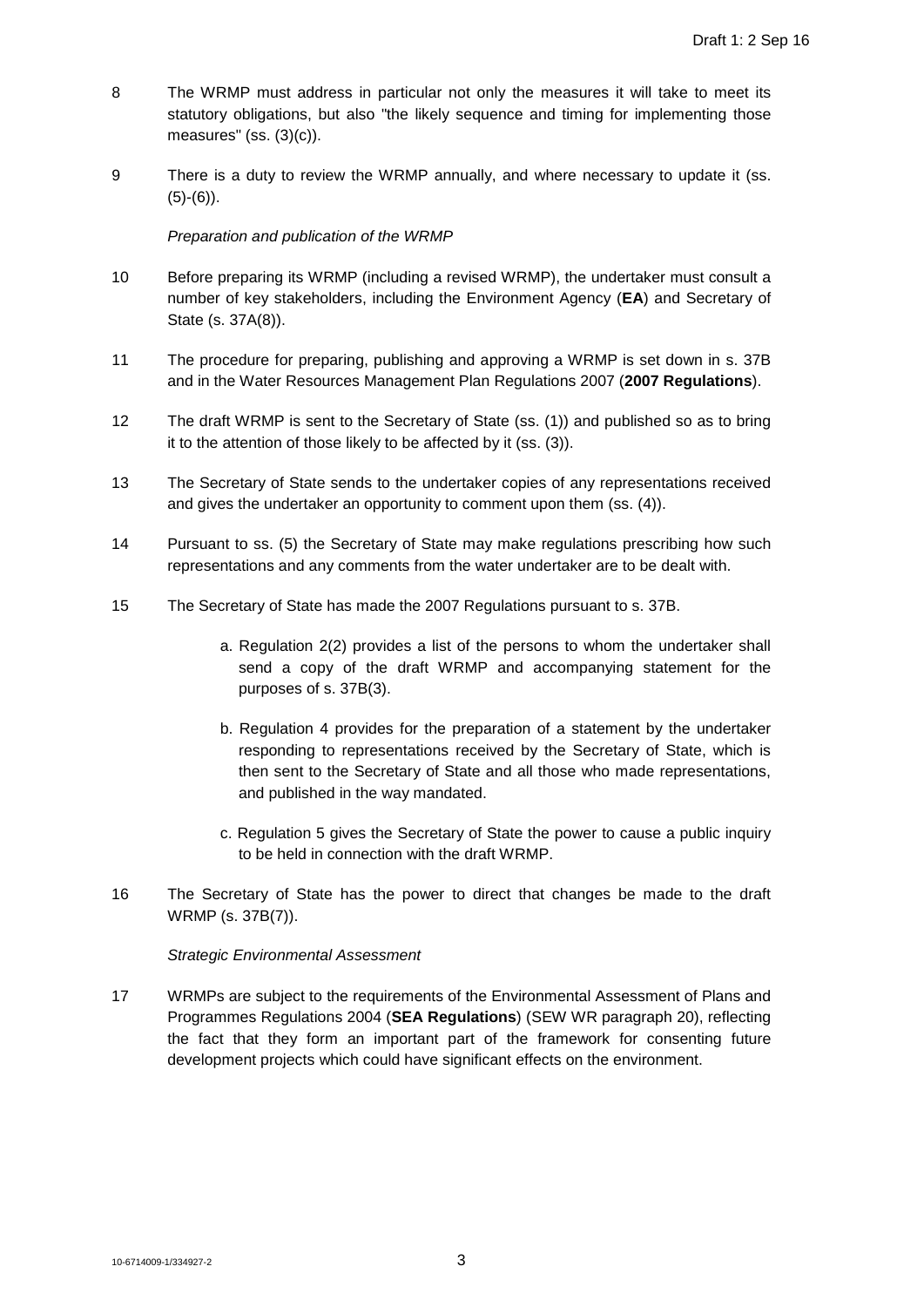- 8 The WRMP must address in particular not only the measures it will take to meet its statutory obligations, but also "the likely sequence and timing for implementing those measures" (ss. (3)(c)).
- 9 There is a duty to review the WRMP annually, and where necessary to update it (ss.  $(5)-(6)$ ).

*Preparation and publication of the WRMP*

- 10 Before preparing its WRMP (including a revised WRMP), the undertaker must consult a number of key stakeholders, including the Environment Agency (**EA**) and Secretary of State (s. 37A(8)).
- 11 The procedure for preparing, publishing and approving a WRMP is set down in s. 37B and in the Water Resources Management Plan Regulations 2007 (**2007 Regulations**).
- 12 The draft WRMP is sent to the Secretary of State (ss. (1)) and published so as to bring it to the attention of those likely to be affected by it (ss. (3)).
- 13 The Secretary of State sends to the undertaker copies of any representations received and gives the undertaker an opportunity to comment upon them (ss. (4)).
- 14 Pursuant to ss. (5) the Secretary of State may make regulations prescribing how such representations and any comments from the water undertaker are to be dealt with.
- 15 The Secretary of State has made the 2007 Regulations pursuant to s. 37B.
	- a. Regulation 2(2) provides a list of the persons to whom the undertaker shall send a copy of the draft WRMP and accompanying statement for the purposes of s. 37B(3).
	- b. Regulation 4 provides for the preparation of a statement by the undertaker responding to representations received by the Secretary of State, which is then sent to the Secretary of State and all those who made representations, and published in the way mandated.
	- c. Regulation 5 gives the Secretary of State the power to cause a public inquiry to be held in connection with the draft WRMP.
- 16 The Secretary of State has the power to direct that changes be made to the draft WRMP (s. 37B(7)).

*Strategic Environmental Assessment*

17 WRMPs are subject to the requirements of the Environmental Assessment of Plans and Programmes Regulations 2004 (**SEA Regulations**) (SEW WR paragraph 20), reflecting the fact that they form an important part of the framework for consenting future development projects which could have significant effects on the environment.